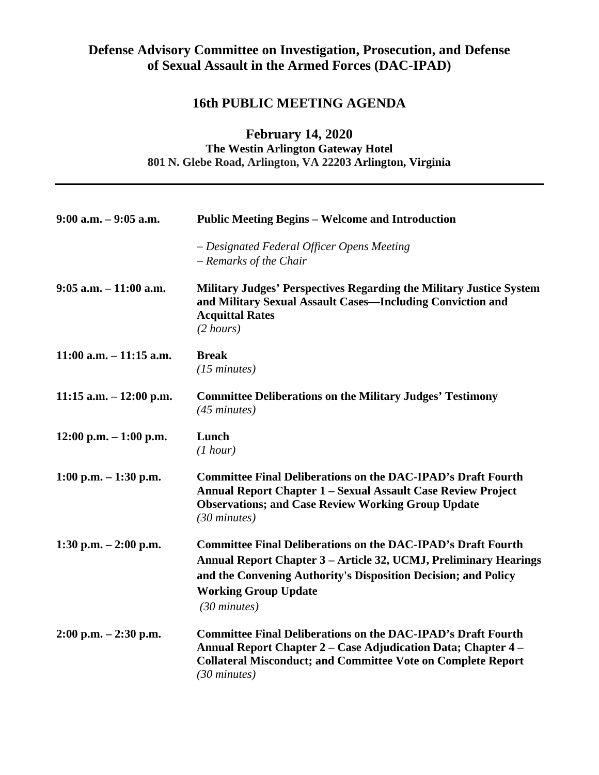## **Defense Advisory Committee on Investigation, Prosecution, and Defense of Sexual Assault in the Armed Forces (DAC-IPAD)**

## **16th PUBLIC MEETING AGENDA**

## **February 14, 2020 The Westin Arlington Gateway Hotel 801 N. Glebe Road, Arlington, VA 22203 Arlington, Virginia**

| $9:00$ a.m. $-9:05$ a.m.   | <b>Public Meeting Begins - Welcome and Introduction</b>                                                                                                                                                                                                            |
|----------------------------|--------------------------------------------------------------------------------------------------------------------------------------------------------------------------------------------------------------------------------------------------------------------|
|                            | - Designated Federal Officer Opens Meeting<br>- Remarks of the Chair                                                                                                                                                                                               |
| $9:05$ a.m. $-11:00$ a.m.  | Military Judges' Perspectives Regarding the Military Justice System<br>and Military Sexual Assault Cases—Including Conviction and<br><b>Acquittal Rates</b><br>$(2 \text{ hours})$                                                                                 |
| $11:00$ a.m. $-11:15$ a.m. | <b>Break</b><br>$(15 \text{ minutes})$                                                                                                                                                                                                                             |
| 11:15 a.m. $- 12:00$ p.m.  | <b>Committee Deliberations on the Military Judges' Testimony</b><br>$(45 \text{ minutes})$                                                                                                                                                                         |
| $12:00$ p.m. $-1:00$ p.m.  | Lunch<br>(1 hour)                                                                                                                                                                                                                                                  |
| $1:00$ p.m. $-1:30$ p.m.   | <b>Committee Final Deliberations on the DAC-IPAD's Draft Fourth</b><br><b>Annual Report Chapter 1 - Sexual Assault Case Review Project</b><br><b>Observations; and Case Review Working Group Update</b><br>$(30 \text{ minutes})$                                  |
| 1:30 p.m. $-2:00$ p.m.     | <b>Committee Final Deliberations on the DAC-IPAD's Draft Fourth</b><br>Annual Report Chapter 3 – Article 32, UCMJ, Preliminary Hearings<br>and the Convening Authority's Disposition Decision; and Policy<br><b>Working Group Update</b><br>$(30 \text{ minutes})$ |
| $2:00$ p.m. $-2:30$ p.m.   | <b>Committee Final Deliberations on the DAC-IPAD's Draft Fourth</b><br>Annual Report Chapter 2 - Case Adjudication Data; Chapter 4 -<br><b>Collateral Misconduct; and Committee Vote on Complete Report</b><br>$(30 \text{ minutes})$                              |